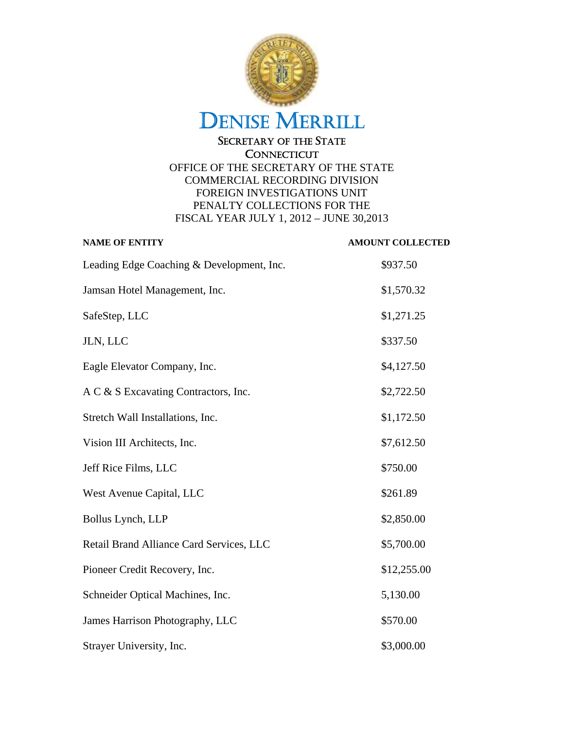

| <b>NAME OF ENTITY</b>                     | <b>AMOUNT COLLECTED</b> |
|-------------------------------------------|-------------------------|
| Leading Edge Coaching & Development, Inc. | \$937.50                |
| Jamsan Hotel Management, Inc.             | \$1,570.32              |
| SafeStep, LLC                             | \$1,271.25              |
| JLN, LLC                                  | \$337.50                |
| Eagle Elevator Company, Inc.              | \$4,127.50              |
| A C & S Excavating Contractors, Inc.      | \$2,722.50              |
| Stretch Wall Installations, Inc.          | \$1,172.50              |
| Vision III Architects, Inc.               | \$7,612.50              |
| Jeff Rice Films, LLC                      | \$750.00                |
| West Avenue Capital, LLC                  | \$261.89                |
| Bollus Lynch, LLP                         | \$2,850.00              |
| Retail Brand Alliance Card Services, LLC  | \$5,700.00              |
| Pioneer Credit Recovery, Inc.             | \$12,255.00             |
| Schneider Optical Machines, Inc.          | 5,130.00                |
| James Harrison Photography, LLC           | \$570.00                |
| Strayer University, Inc.                  | \$3,000.00              |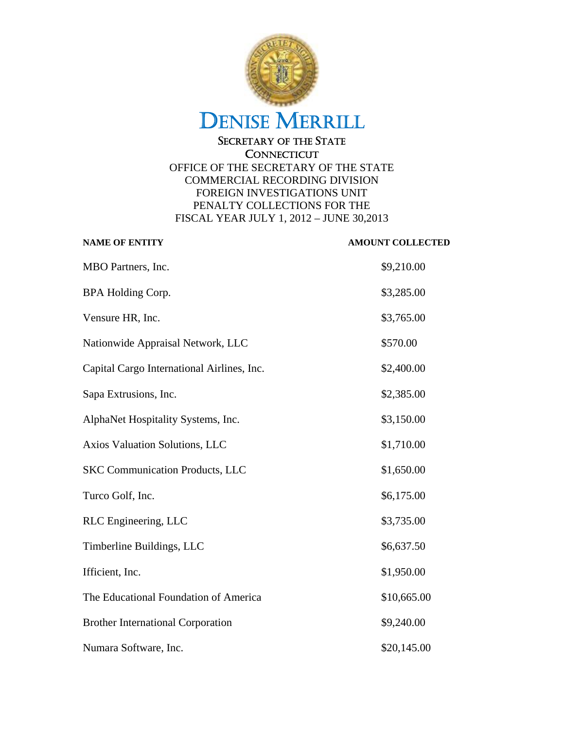

| <b>NAME OF ENTITY</b>                      | <b>AMOUNT COLLECTED</b> |
|--------------------------------------------|-------------------------|
| MBO Partners, Inc.                         | \$9,210.00              |
| <b>BPA Holding Corp.</b>                   | \$3,285.00              |
| Vensure HR, Inc.                           | \$3,765.00              |
| Nationwide Appraisal Network, LLC          | \$570.00                |
| Capital Cargo International Airlines, Inc. | \$2,400.00              |
| Sapa Extrusions, Inc.                      | \$2,385.00              |
| AlphaNet Hospitality Systems, Inc.         | \$3,150.00              |
| Axios Valuation Solutions, LLC             | \$1,710.00              |
| <b>SKC Communication Products, LLC</b>     | \$1,650.00              |
| Turco Golf, Inc.                           | \$6,175.00              |
| RLC Engineering, LLC                       | \$3,735.00              |
| Timberline Buildings, LLC                  | \$6,637.50              |
| Ifficient, Inc.                            | \$1,950.00              |
| The Educational Foundation of America      | \$10,665.00             |
| <b>Brother International Corporation</b>   | \$9,240.00              |
| Numara Software, Inc.                      | \$20,145.00             |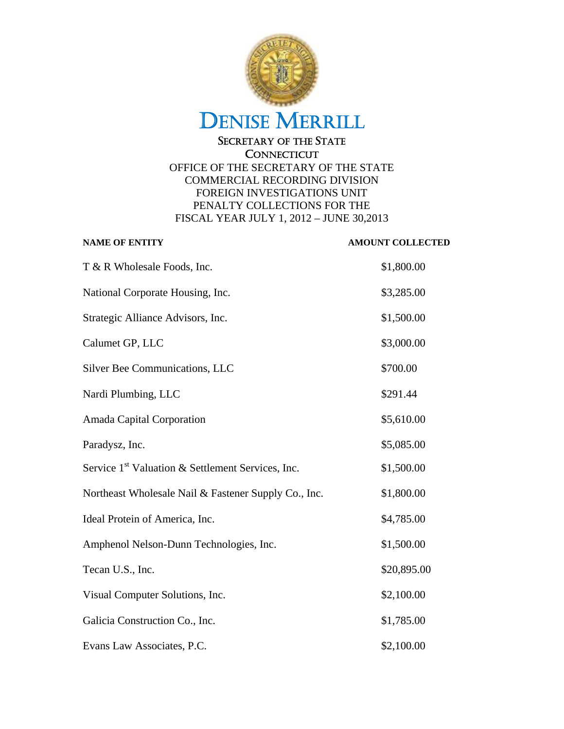

| <b>NAME OF ENTITY</b>                                         | <b>AMOUNT COLLECTED</b> |
|---------------------------------------------------------------|-------------------------|
| T & R Wholesale Foods, Inc.                                   | \$1,800.00              |
| National Corporate Housing, Inc.                              | \$3,285.00              |
| Strategic Alliance Advisors, Inc.                             | \$1,500.00              |
| Calumet GP, LLC                                               | \$3,000.00              |
| Silver Bee Communications, LLC                                | \$700.00                |
| Nardi Plumbing, LLC                                           | \$291.44                |
| Amada Capital Corporation                                     | \$5,610.00              |
| Paradysz, Inc.                                                | \$5,085.00              |
| Service 1 <sup>st</sup> Valuation & Settlement Services, Inc. | \$1,500.00              |
| Northeast Wholesale Nail & Fastener Supply Co., Inc.          | \$1,800.00              |
| Ideal Protein of America, Inc.                                | \$4,785.00              |
| Amphenol Nelson-Dunn Technologies, Inc.                       | \$1,500.00              |
| Tecan U.S., Inc.                                              | \$20,895.00             |
| Visual Computer Solutions, Inc.                               | \$2,100.00              |
| Galicia Construction Co., Inc.                                | \$1,785.00              |
| Evans Law Associates, P.C.                                    | \$2,100.00              |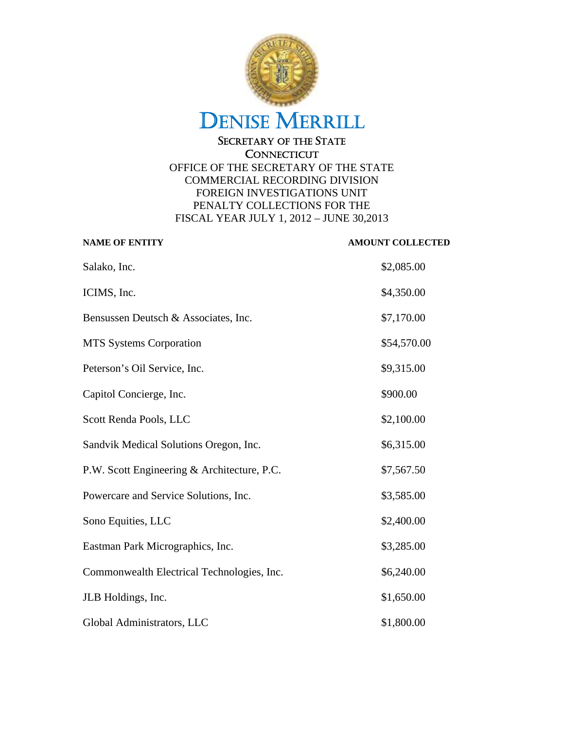

| <b>NAME OF ENTITY</b>                       | <b>AMOUNT COLLECTED</b> |
|---------------------------------------------|-------------------------|
| Salako, Inc.                                | \$2,085.00              |
| ICIMS, Inc.                                 | \$4,350.00              |
| Bensussen Deutsch & Associates, Inc.        | \$7,170.00              |
| <b>MTS Systems Corporation</b>              | \$54,570.00             |
| Peterson's Oil Service, Inc.                | \$9,315.00              |
| Capitol Concierge, Inc.                     | \$900.00                |
| Scott Renda Pools, LLC                      | \$2,100.00              |
| Sandvik Medical Solutions Oregon, Inc.      | \$6,315.00              |
| P.W. Scott Engineering & Architecture, P.C. | \$7,567.50              |
| Powercare and Service Solutions, Inc.       | \$3,585.00              |
| Sono Equities, LLC                          | \$2,400.00              |
| Eastman Park Micrographics, Inc.            | \$3,285.00              |
| Commonwealth Electrical Technologies, Inc.  | \$6,240.00              |
| JLB Holdings, Inc.                          | \$1,650.00              |
| Global Administrators, LLC                  | \$1,800.00              |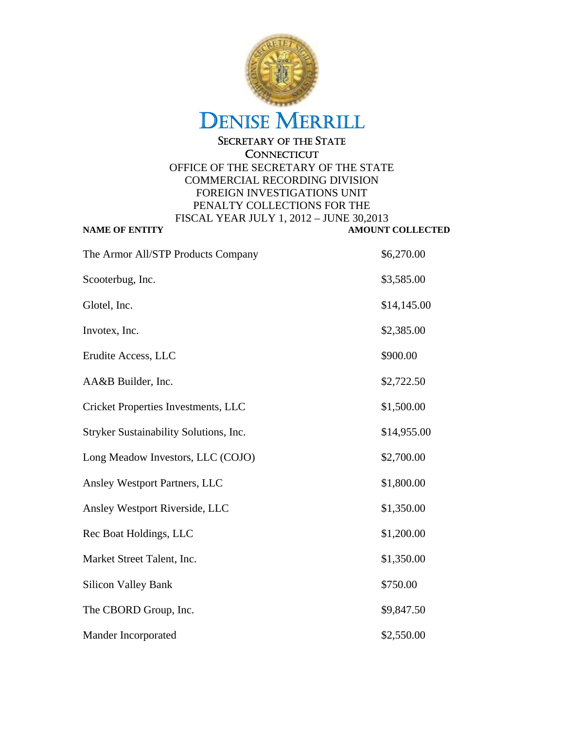

| The Armor All/STP Products Company     | \$6,270.00  |
|----------------------------------------|-------------|
| Scooterbug, Inc.                       | \$3,585.00  |
| Glotel, Inc.                           | \$14,145.00 |
| Invotex, Inc.                          | \$2,385.00  |
| Erudite Access, LLC                    | \$900.00    |
| AA&B Builder, Inc.                     | \$2,722.50  |
| Cricket Properties Investments, LLC    | \$1,500.00  |
| Stryker Sustainability Solutions, Inc. | \$14,955.00 |
| Long Meadow Investors, LLC (COJO)      | \$2,700.00  |
| Ansley Westport Partners, LLC          | \$1,800.00  |
| Ansley Westport Riverside, LLC         | \$1,350.00  |
| Rec Boat Holdings, LLC                 | \$1,200.00  |
| Market Street Talent, Inc.             | \$1,350.00  |
| <b>Silicon Valley Bank</b>             | \$750.00    |
| The CBORD Group, Inc.                  | \$9,847.50  |
| Mander Incorporated                    | \$2,550.00  |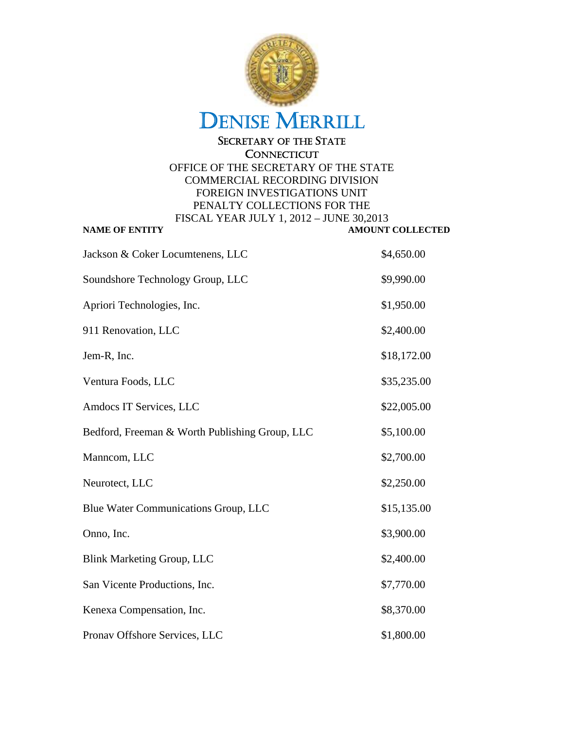

**CONNECTICUT** 

| Jackson & Coker Locumtenens, LLC               | \$4,650.00  |
|------------------------------------------------|-------------|
| Soundshore Technology Group, LLC               | \$9,990.00  |
| Apriori Technologies, Inc.                     | \$1,950.00  |
| 911 Renovation, LLC                            | \$2,400.00  |
| Jem-R, Inc.                                    | \$18,172.00 |
| Ventura Foods, LLC                             | \$35,235.00 |
| Amdocs IT Services, LLC                        | \$22,005.00 |
| Bedford, Freeman & Worth Publishing Group, LLC | \$5,100.00  |
| Manncom, LLC                                   | \$2,700.00  |
| Neurotect, LLC                                 | \$2,250.00  |
| Blue Water Communications Group, LLC           | \$15,135.00 |
| Onno, Inc.                                     | \$3,900.00  |
| <b>Blink Marketing Group, LLC</b>              | \$2,400.00  |
| San Vicente Productions, Inc.                  | \$7,770.00  |
| Kenexa Compensation, Inc.                      | \$8,370.00  |
| Pronav Offshore Services, LLC                  | \$1,800.00  |
|                                                |             |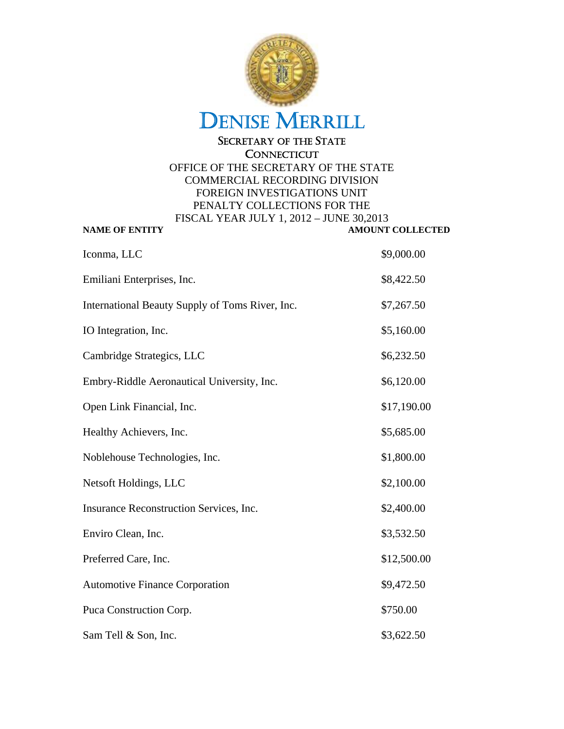

| \$9,000.00<br>\$8,422.50<br>\$7,267.50<br>\$5,160.00 |
|------------------------------------------------------|
|                                                      |
|                                                      |
|                                                      |
|                                                      |
| \$6,232.50                                           |
| \$6,120.00                                           |
| \$17,190.00                                          |
| \$5,685.00                                           |
| \$1,800.00                                           |
| \$2,100.00                                           |
| \$2,400.00                                           |
| \$3,532.50                                           |
| \$12,500.00                                          |
| \$9,472.50                                           |
| \$750.00                                             |
| \$3,622.50                                           |
|                                                      |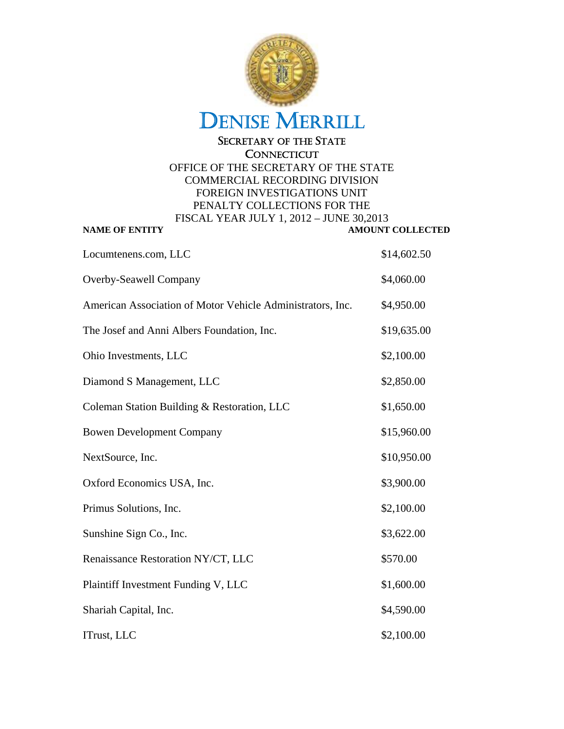

| Locumtenens.com, LLC                                       | \$14,602.50 |
|------------------------------------------------------------|-------------|
| Overby-Seawell Company                                     | \$4,060.00  |
| American Association of Motor Vehicle Administrators, Inc. | \$4,950.00  |
| The Josef and Anni Albers Foundation, Inc.                 | \$19,635.00 |
| Ohio Investments, LLC                                      | \$2,100.00  |
| Diamond S Management, LLC                                  | \$2,850.00  |
| Coleman Station Building & Restoration, LLC                | \$1,650.00  |
| <b>Bowen Development Company</b>                           | \$15,960.00 |
| NextSource, Inc.                                           | \$10,950.00 |
| Oxford Economics USA, Inc.                                 | \$3,900.00  |
| Primus Solutions, Inc.                                     | \$2,100.00  |
| Sunshine Sign Co., Inc.                                    | \$3,622.00  |
| Renaissance Restoration NY/CT, LLC                         | \$570.00    |
| Plaintiff Investment Funding V, LLC                        | \$1,600.00  |
| Shariah Capital, Inc.                                      | \$4,590.00  |
| ITrust, LLC                                                | \$2,100.00  |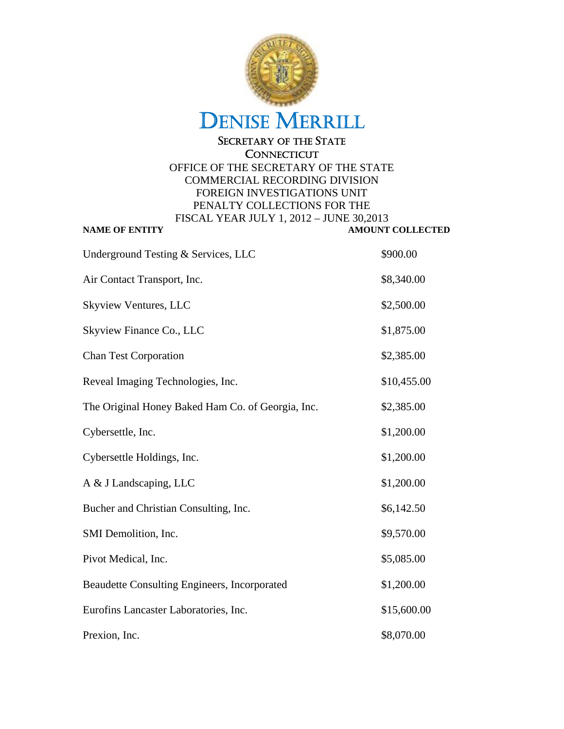

### **CONNECTICUT**

| Underground Testing & Services, LLC               | \$900.00    |
|---------------------------------------------------|-------------|
| Air Contact Transport, Inc.                       | \$8,340.00  |
| Skyview Ventures, LLC                             | \$2,500.00  |
| Skyview Finance Co., LLC                          | \$1,875.00  |
| <b>Chan Test Corporation</b>                      | \$2,385.00  |
| Reveal Imaging Technologies, Inc.                 | \$10,455.00 |
| The Original Honey Baked Ham Co. of Georgia, Inc. | \$2,385.00  |
| Cybersettle, Inc.                                 | \$1,200.00  |
| Cybersettle Holdings, Inc.                        | \$1,200.00  |
| A & J Landscaping, LLC                            | \$1,200.00  |
| Bucher and Christian Consulting, Inc.             | \$6,142.50  |
| SMI Demolition, Inc.                              | \$9,570.00  |
| Pivot Medical, Inc.                               | \$5,085.00  |
| Beaudette Consulting Engineers, Incorporated      | \$1,200.00  |
| Eurofins Lancaster Laboratories, Inc.             | \$15,600.00 |
| Prexion, Inc.                                     | \$8,070.00  |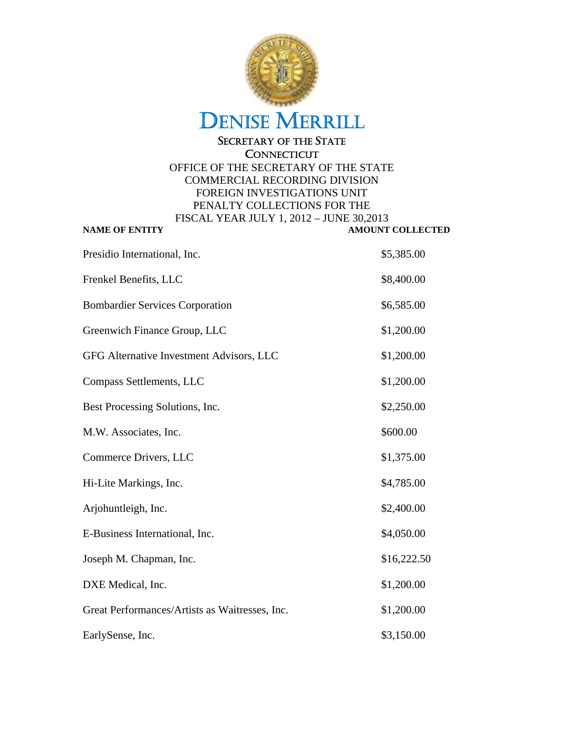

### **CONNECTICUT**

| Presidio International, Inc.                   | \$5,385.00  |
|------------------------------------------------|-------------|
| Frenkel Benefits, LLC                          | \$8,400.00  |
| <b>Bombardier Services Corporation</b>         | \$6,585.00  |
| Greenwich Finance Group, LLC                   | \$1,200.00  |
| GFG Alternative Investment Advisors, LLC       | \$1,200.00  |
| Compass Settlements, LLC                       | \$1,200.00  |
| Best Processing Solutions, Inc.                | \$2,250.00  |
| M.W. Associates, Inc.                          | \$600.00    |
| Commerce Drivers, LLC                          | \$1,375.00  |
| Hi-Lite Markings, Inc.                         | \$4,785.00  |
| Arjohuntleigh, Inc.                            | \$2,400.00  |
| E-Business International, Inc.                 | \$4,050.00  |
| Joseph M. Chapman, Inc.                        | \$16,222.50 |
| DXE Medical, Inc.                              | \$1,200.00  |
| Great Performances/Artists as Waitresses, Inc. | \$1,200.00  |
| EarlySense, Inc.                               | \$3,150.00  |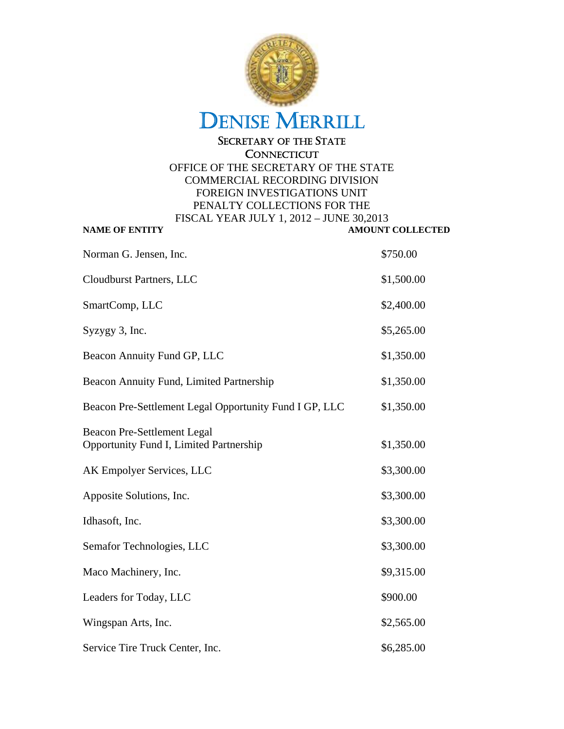

#### **CONNECTICUT** OFFICE OF THE SECRETARY OF THE STATE COMMERCIAL RECORDING DIVISION FOREIGN INVESTIGATIONS UNIT

PENALTY COLLECTIONS FOR THE FISCAL YEAR JULY 1, 2012 – JUNE 30,2013 **NAME OF ENTITY AMOUNT COLLECTED** Norman G. Jensen, Inc.  $$750.00$ Cloudburst Partners, LLC \$1,500.00 SmartComp, LLC  $$2,400.00$  $Syzygy 3$ , Inc.  $$5,265.00$ Beacon Annuity Fund GP, LLC \$1,350.00 Beacon Annuity Fund, Limited Partnership  $$1,350.00$ Beacon Pre-Settlement Legal Opportunity Fund I GP, LLC \$1,350.00 Beacon Pre-Settlement Legal Opportunity Fund I, Limited Partnership \$1,350.00 AK Empolyer Services, LLC \$3,300.00 Apposite Solutions, Inc.  $$3,300.00$ Idhasoft, Inc. \$3,300.00 Semafor Technologies, LLC  $$3,300.00$ Maco Machinery, Inc.  $$9,315.00$ Leaders for Today, LLC \$900.00 Wingspan Arts, Inc.  $$2,565.00$ Service Tire Truck Center, Inc.  $$6,285.00$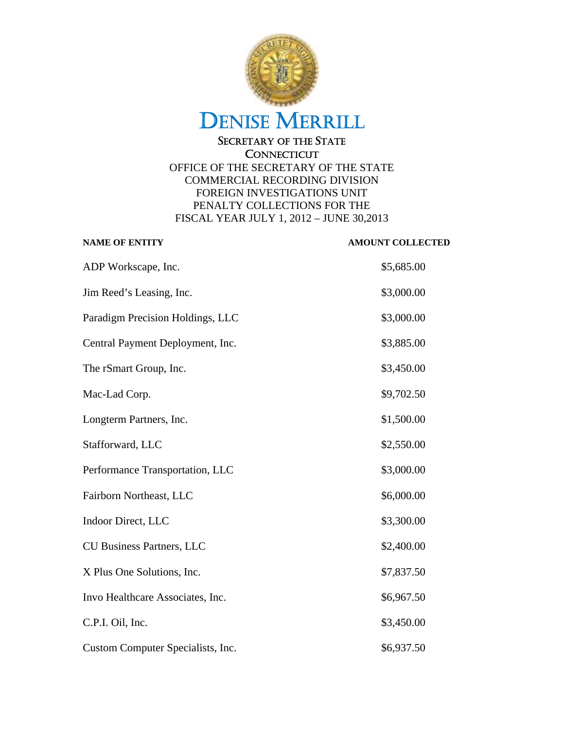

| <b>NAME OF ENTITY</b>             | <b>AMOUNT COLLECTED</b> |
|-----------------------------------|-------------------------|
| ADP Workscape, Inc.               | \$5,685.00              |
| Jim Reed's Leasing, Inc.          | \$3,000.00              |
| Paradigm Precision Holdings, LLC  | \$3,000.00              |
| Central Payment Deployment, Inc.  | \$3,885.00              |
| The rSmart Group, Inc.            | \$3,450.00              |
| Mac-Lad Corp.                     | \$9,702.50              |
| Longterm Partners, Inc.           | \$1,500.00              |
| Stafforward, LLC                  | \$2,550.00              |
| Performance Transportation, LLC   | \$3,000.00              |
| Fairborn Northeast, LLC           | \$6,000.00              |
| Indoor Direct, LLC                | \$3,300.00              |
| <b>CU Business Partners, LLC</b>  | \$2,400.00              |
| X Plus One Solutions, Inc.        | \$7,837.50              |
| Invo Healthcare Associates, Inc.  | \$6,967.50              |
| C.P.I. Oil, Inc.                  | \$3,450.00              |
| Custom Computer Specialists, Inc. | \$6,937.50              |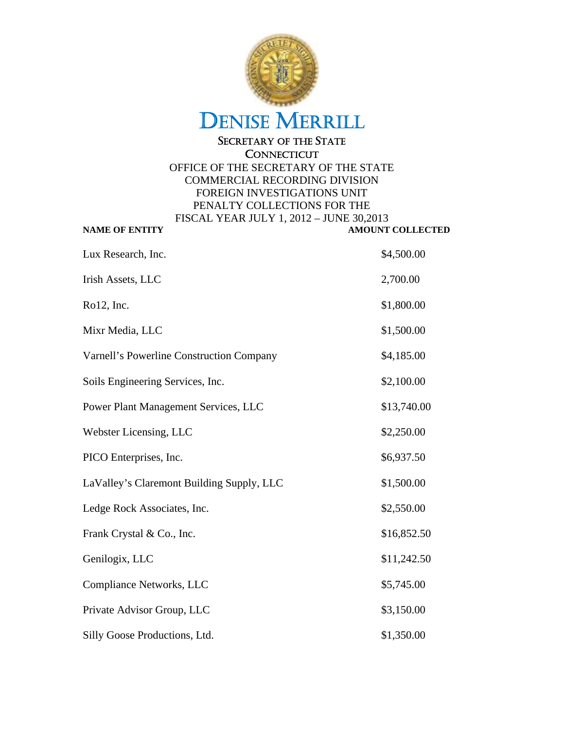

| Lux Research, Inc.                        | \$4,500.00  |
|-------------------------------------------|-------------|
| Irish Assets, LLC                         | 2,700.00    |
| Ro12, Inc.                                | \$1,800.00  |
| Mixr Media, LLC                           | \$1,500.00  |
| Varnell's Powerline Construction Company  | \$4,185.00  |
| Soils Engineering Services, Inc.          | \$2,100.00  |
| Power Plant Management Services, LLC      | \$13,740.00 |
| Webster Licensing, LLC                    | \$2,250.00  |
| PICO Enterprises, Inc.                    | \$6,937.50  |
| LaValley's Claremont Building Supply, LLC | \$1,500.00  |
| Ledge Rock Associates, Inc.               | \$2,550.00  |
| Frank Crystal & Co., Inc.                 | \$16,852.50 |
| Genilogix, LLC                            | \$11,242.50 |
| Compliance Networks, LLC                  | \$5,745.00  |
| Private Advisor Group, LLC                | \$3,150.00  |
| Silly Goose Productions, Ltd.             | \$1,350.00  |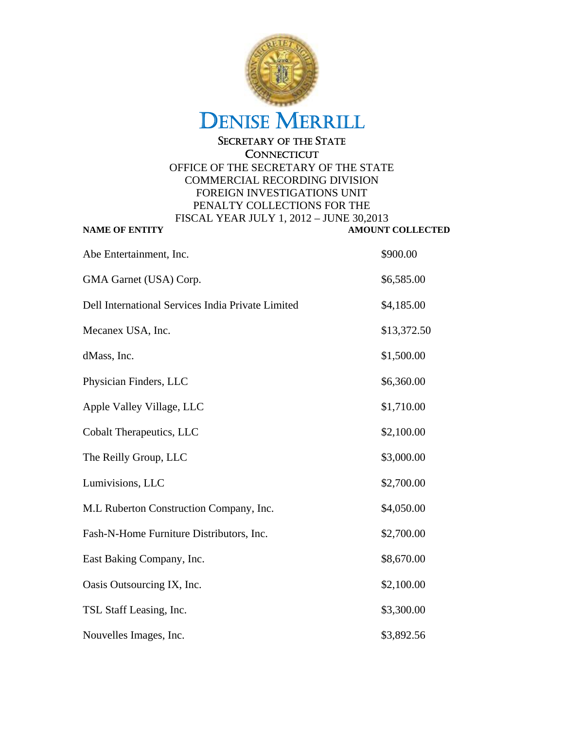

| Abe Entertainment, Inc.                           | \$900.00    |
|---------------------------------------------------|-------------|
| GMA Garnet (USA) Corp.                            | \$6,585.00  |
| Dell International Services India Private Limited | \$4,185.00  |
| Mecanex USA, Inc.                                 | \$13,372.50 |
| dMass, Inc.                                       | \$1,500.00  |
| Physician Finders, LLC                            | \$6,360.00  |
| Apple Valley Village, LLC                         | \$1,710.00  |
| Cobalt Therapeutics, LLC                          | \$2,100.00  |
| The Reilly Group, LLC                             | \$3,000.00  |
| Lumivisions, LLC                                  | \$2,700.00  |
| M.L Ruberton Construction Company, Inc.           | \$4,050.00  |
| Fash-N-Home Furniture Distributors, Inc.          | \$2,700.00  |
| East Baking Company, Inc.                         | \$8,670.00  |
| Oasis Outsourcing IX, Inc.                        | \$2,100.00  |
| TSL Staff Leasing, Inc.                           | \$3,300.00  |
| Nouvelles Images, Inc.                            | \$3,892.56  |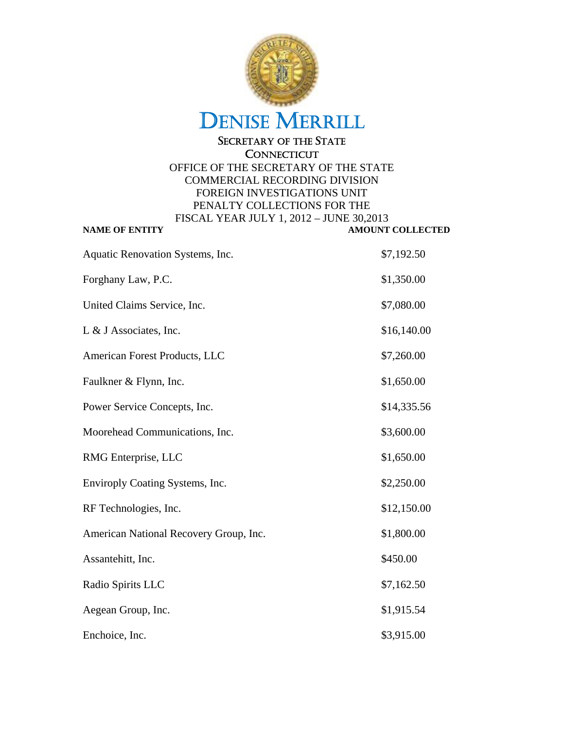

| Aquatic Renovation Systems, Inc.       | \$7,192.50  |
|----------------------------------------|-------------|
| Forghany Law, P.C.                     | \$1,350.00  |
| United Claims Service, Inc.            | \$7,080.00  |
| L & J Associates, Inc.                 | \$16,140.00 |
| American Forest Products, LLC          | \$7,260.00  |
| Faulkner & Flynn, Inc.                 | \$1,650.00  |
| Power Service Concepts, Inc.           | \$14,335.56 |
| Moorehead Communications, Inc.         | \$3,600.00  |
| RMG Enterprise, LLC                    | \$1,650.00  |
| Enviroply Coating Systems, Inc.        | \$2,250.00  |
| RF Technologies, Inc.                  | \$12,150.00 |
| American National Recovery Group, Inc. | \$1,800.00  |
| Assantehitt, Inc.                      | \$450.00    |
| Radio Spirits LLC                      | \$7,162.50  |
| Aegean Group, Inc.                     | \$1,915.54  |
| Enchoice, Inc.                         | \$3,915.00  |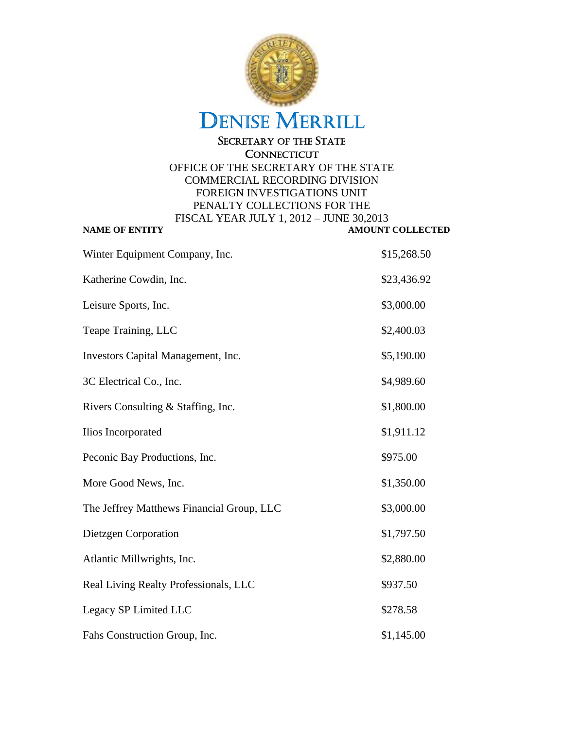

| Winter Equipment Company, Inc.            | \$15,268.50 |
|-------------------------------------------|-------------|
| Katherine Cowdin, Inc.                    | \$23,436.92 |
| Leisure Sports, Inc.                      | \$3,000.00  |
| Teape Training, LLC                       | \$2,400.03  |
| Investors Capital Management, Inc.        | \$5,190.00  |
| 3C Electrical Co., Inc.                   | \$4,989.60  |
| Rivers Consulting & Staffing, Inc.        | \$1,800.00  |
| Ilios Incorporated                        | \$1,911.12  |
| Peconic Bay Productions, Inc.             | \$975.00    |
| More Good News, Inc.                      | \$1,350.00  |
| The Jeffrey Matthews Financial Group, LLC | \$3,000.00  |
| Dietzgen Corporation                      | \$1,797.50  |
| Atlantic Millwrights, Inc.                | \$2,880.00  |
| Real Living Realty Professionals, LLC     | \$937.50    |
| Legacy SP Limited LLC                     | \$278.58    |
| Fahs Construction Group, Inc.             | \$1,145.00  |